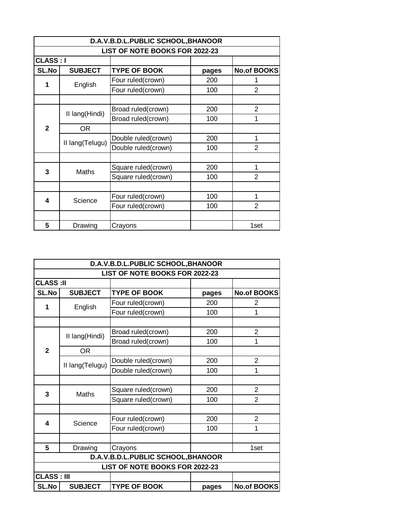| D.A.V.B.D.L.PUBLIC SCHOOL, BHANOOR |                                |                     |       |                    |  |
|------------------------------------|--------------------------------|---------------------|-------|--------------------|--|
|                                    | LIST OF NOTE BOOKS FOR 2022-23 |                     |       |                    |  |
| <b>CLASS: I</b>                    |                                |                     |       |                    |  |
| <b>SL.No</b>                       | <b>SUBJECT</b>                 | <b>TYPE OF BOOK</b> | pages | <b>No.of BOOKS</b> |  |
| 1                                  | English                        | Four ruled(crown)   | 200   |                    |  |
|                                    |                                | Four ruled(crown)   | 100   | $\overline{2}$     |  |
|                                    |                                |                     |       |                    |  |
|                                    | II lang(Hindi)                 | Broad ruled(crown)  | 200   | $\overline{2}$     |  |
|                                    |                                | Broad ruled(crown)  | 100   | 1                  |  |
| $\mathbf{2}$                       | <b>OR</b>                      |                     |       |                    |  |
|                                    | II lang(Telugu)                | Double ruled(crown) | 200   | 1                  |  |
|                                    |                                | Double ruled(crown) | 100   | $\overline{2}$     |  |
|                                    |                                |                     |       |                    |  |
| 3                                  | Maths                          | Square ruled(crown) | 200   | 1                  |  |
|                                    |                                | Square ruled(crown) | 100   | 2                  |  |
|                                    |                                |                     |       |                    |  |
| 4                                  | Science                        | Four ruled(crown)   | 100   | 1                  |  |
|                                    |                                | Four ruled(crown)   | 100   | $\overline{2}$     |  |
|                                    |                                |                     |       |                    |  |
| 5                                  | Drawing                        | Crayons             |       | 1set               |  |

|                                | D.A.V.B.D.L.PUBLIC SCHOOL, BHANOOR |                                    |       |                    |
|--------------------------------|------------------------------------|------------------------------------|-------|--------------------|
| LIST OF NOTE BOOKS FOR 2022-23 |                                    |                                    |       |                    |
| <b>CLASS:II</b>                |                                    |                                    |       |                    |
| <b>SL.No</b>                   | <b>SUBJECT</b>                     | <b>TYPE OF BOOK</b>                | pages | <b>No.of BOOKS</b> |
| 1                              | English                            | Four ruled(crown)                  | 200   | 2                  |
|                                |                                    | Four ruled(crown)                  | 100   | 1                  |
|                                |                                    |                                    |       |                    |
|                                | II lang(Hindi)                     | Broad ruled(crown)                 | 200   | $\overline{2}$     |
|                                |                                    | Broad ruled(crown)                 | 100   | 1                  |
| $\mathbf{2}$                   | <b>OR</b>                          |                                    |       |                    |
|                                | II lang(Telugu)                    | Double ruled(crown)                | 200   | $\overline{2}$     |
|                                |                                    | Double ruled(crown)                | 100   | 1                  |
|                                |                                    |                                    |       |                    |
| 3                              | <b>Maths</b>                       | Square ruled(crown)                | 200   | $\overline{2}$     |
|                                |                                    | Square ruled(crown)                | 100   | $\overline{2}$     |
|                                |                                    |                                    |       |                    |
| 4                              | Science                            | Four ruled(crown)                  | 200   | $\overline{2}$     |
|                                |                                    | Four ruled(crown)                  | 100   | 1                  |
|                                |                                    |                                    |       |                    |
| 5                              | Drawing                            | Crayons                            |       | 1set               |
|                                |                                    | D.A.V.B.D.L.PUBLIC SCHOOL, BHANOOR |       |                    |
|                                |                                    | LIST OF NOTE BOOKS FOR 2022-23     |       |                    |
| <b>CLASS: III</b>              |                                    |                                    |       |                    |
| <b>SL.No</b>                   | <b>SUBJECT</b>                     | <b>TYPE OF BOOK</b>                | pages | <b>No.of BOOKS</b> |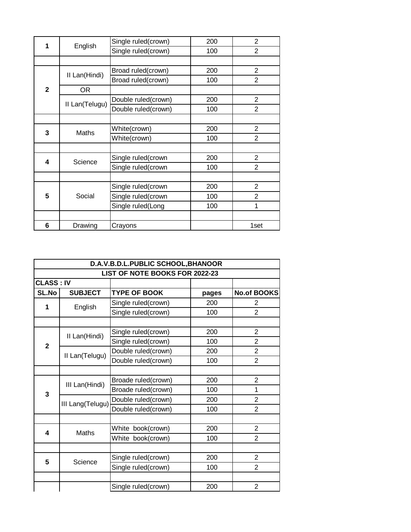| 1            | English        | Single ruled(crown) | 200 | $\overline{2}$ |
|--------------|----------------|---------------------|-----|----------------|
|              |                | Single ruled(crown) | 100 | $\overline{2}$ |
|              |                |                     |     |                |
|              | II Lan(Hindi)  | Broad ruled(crown)  | 200 | $\overline{2}$ |
|              |                | Broad ruled(crown)  | 100 | $\overline{2}$ |
| $\mathbf{2}$ | 0R             |                     |     |                |
|              | II Lan(Telugu) | Double ruled(crown) | 200 | $\overline{2}$ |
|              |                | Double ruled(crown) | 100 | $\overline{2}$ |
|              |                |                     |     |                |
| 3            | Maths          | White(crown)        | 200 | $\overline{2}$ |
|              |                | White(crown)        | 100 | $\overline{2}$ |
|              |                |                     |     |                |
| 4            | Science        | Single ruled(crown  | 200 | $\overline{2}$ |
|              |                | Single ruled(crown  | 100 | $\overline{2}$ |
|              |                |                     |     |                |
|              |                | Single ruled(crown  | 200 | $\overline{2}$ |
| 5            | Social         | Single ruled(crown  | 100 | $\overline{2}$ |
|              |                | Single ruled(Long   | 100 | 1              |
|              |                |                     |     |                |
| 6            | Drawing        | Crayons             |     | 1set           |

|                         | D.A.V.B.D.L.PUBLIC SCHOOL, BHANOOR<br>LIST OF NOTE BOOKS FOR 2022-23 |                     |       |                    |  |
|-------------------------|----------------------------------------------------------------------|---------------------|-------|--------------------|--|
|                         |                                                                      |                     |       |                    |  |
| <b>CLASS: IV</b>        |                                                                      |                     |       |                    |  |
| <b>SL.No</b>            | <b>SUBJECT</b>                                                       | <b>TYPE OF BOOK</b> | pages | <b>No.of BOOKS</b> |  |
| 1                       | English                                                              | Single ruled(crown) | 200   | 2                  |  |
|                         |                                                                      | Single ruled(crown) | 100   | $\overline{2}$     |  |
|                         |                                                                      |                     |       |                    |  |
|                         | II Lan(Hindi)                                                        | Single ruled(crown) | 200   | $\overline{2}$     |  |
| $\overline{\mathbf{2}}$ |                                                                      | Single ruled(crown) | 100   | $\overline{2}$     |  |
|                         | II Lan(Telugu)                                                       | Double ruled(crown) | 200   | $\overline{2}$     |  |
|                         |                                                                      | Double ruled(crown) | 100   | $\overline{2}$     |  |
|                         |                                                                      |                     |       |                    |  |
|                         | III Lan(Hindi)                                                       | Broade ruled(crown) | 200   | $\overline{2}$     |  |
| 3                       |                                                                      | Broade ruled(crown) | 100   | 1                  |  |
|                         | III Lang(Telugu)                                                     | Double ruled(crown) | 200   | $\overline{2}$     |  |
|                         |                                                                      | Double ruled(crown) | 100   | $\overline{2}$     |  |
|                         |                                                                      |                     |       |                    |  |
| 4                       | Maths                                                                | White book(crown)   | 200   | $\overline{2}$     |  |
|                         |                                                                      | White book(crown)   | 100   | $\overline{2}$     |  |
|                         |                                                                      |                     |       |                    |  |
| 5                       | Science                                                              | Single ruled(crown) | 200   | $\overline{2}$     |  |
|                         |                                                                      | Single ruled(crown) | 100   | $\overline{2}$     |  |
|                         |                                                                      |                     |       |                    |  |
|                         |                                                                      | Single ruled(crown) | 200   | $\overline{2}$     |  |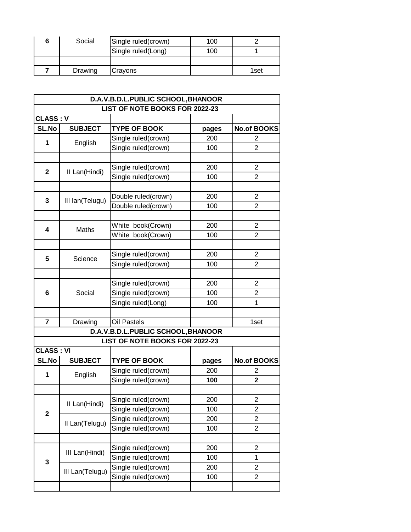| Social  | Single ruled(crown) | 100 |      |
|---------|---------------------|-----|------|
|         | Single ruled(Long)  | 100 |      |
|         |                     |     |      |
| Drawing | Crayons             |     | 1set |

|                  |                 | D.A.V.B.D.L.PUBLIC SCHOOL, BHANOOR |       |                    |
|------------------|-----------------|------------------------------------|-------|--------------------|
|                  |                 | LIST OF NOTE BOOKS FOR 2022-23     |       |                    |
| <b>CLASS: V</b>  |                 |                                    |       |                    |
| SL.No            | <b>SUBJECT</b>  | <b>TYPE OF BOOK</b>                | pages | <b>No.of BOOKS</b> |
|                  |                 | Single ruled(crown)                | 200   | 2                  |
| 1                | English         | Single ruled(crown)                | 100   | 2                  |
|                  |                 |                                    |       |                    |
|                  |                 | Single ruled(crown)                | 200   | 2                  |
| $\mathbf{2}$     | II Lan(Hindi)   | Single ruled(crown)                | 100   | 2                  |
|                  |                 |                                    |       |                    |
|                  |                 | Double ruled(crown)                | 200   | $\overline{2}$     |
| 3                | III lan(Telugu) | Double ruled(crown)                | 100   | 2                  |
|                  |                 |                                    |       |                    |
|                  |                 | White book(Crown)                  | 200   | 2                  |
| 4                | Maths           | White book(Crown)                  | 100   | $\overline{2}$     |
|                  |                 |                                    |       |                    |
|                  |                 | Single ruled(crown)                | 200   | 2                  |
| 5                | Science         | Single ruled(crown)                | 100   | $\overline{2}$     |
|                  |                 |                                    |       |                    |
|                  | Social          | Single ruled(crown)                | 200   | 2                  |
| 6                |                 | Single ruled(crown)                | 100   | 2                  |
|                  |                 | Single ruled(Long)                 | 100   | 1                  |
|                  |                 |                                    |       |                    |
| $\overline{7}$   | Drawing         | Oil Pastels                        |       | 1set               |
|                  |                 | D.A.V.B.D.L.PUBLIC SCHOOL, BHANOOR |       |                    |
|                  |                 | LIST OF NOTE BOOKS FOR 2022-23     |       |                    |
| <b>CLASS: VI</b> |                 |                                    |       |                    |
| <b>SL.No</b>     | <b>SUBJECT</b>  | <b>TYPE OF BOOK</b>                | pages | <b>No.of BOOKS</b> |
|                  |                 | Single ruled(crown)                | 200   | 2                  |
| 1                | English         | Single ruled(crown)                | 100   | $\mathbf 2$        |
|                  |                 |                                    |       |                    |
|                  |                 | Single ruled(crown)                | 200   | 2                  |
|                  | II Lan(Hindi)   | Single ruled(crown)                | 100   | 2                  |
| $\mathbf 2$      |                 | Single ruled(crown)                | 200   | $\overline{2}$     |
|                  | II Lan(Telugu)  | Single ruled(crown)                | 100   | $\overline{2}$     |
|                  |                 |                                    |       |                    |
|                  |                 | Single ruled(crown)                | 200   | $\overline{c}$     |
|                  | III Lan(Hindi)  | Single ruled(crown)                | 100   | 1                  |
| 3                |                 | Single ruled(crown)                | 200   | $\overline{2}$     |
|                  | III Lan(Telugu) | Single ruled(crown)                | 100   | $\overline{c}$     |
|                  |                 |                                    |       |                    |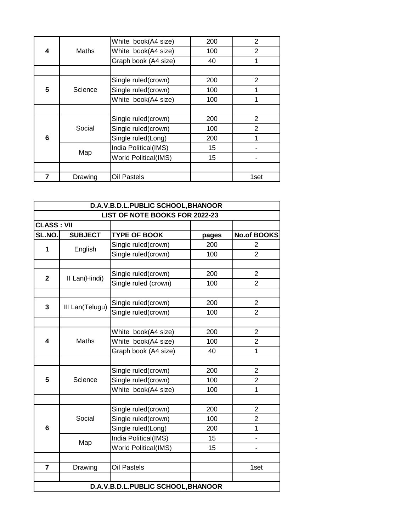|   |         | White book(A4 size)  | 200 | 2              |
|---|---------|----------------------|-----|----------------|
| 4 | Maths   | White book(A4 size)  | 100 | $\overline{2}$ |
|   |         | Graph book (A4 size) | 40  | 1              |
|   |         |                      |     |                |
|   |         | Single ruled(crown)  | 200 | 2              |
| 5 | Science | Single ruled(crown)  | 100 |                |
|   |         | White book(A4 size)  | 100 |                |
|   |         |                      |     |                |
|   |         | Single ruled(crown)  | 200 | $\overline{2}$ |
|   | Social  | Single ruled(crown)  | 100 | $\overline{2}$ |
| 6 |         | Single ruled(Long)   | 200 | 1              |
|   | Map     | India Political(IMS) | 15  |                |
|   |         | World Political(IMS) | 15  |                |
|   |         |                      |     |                |
|   | Drawing | <b>Oil Pastels</b>   |     | 1set           |

|                                | D.A.V.B.D.L.PUBLIC SCHOOL, BHANOOR |                                    |       |                         |  |
|--------------------------------|------------------------------------|------------------------------------|-------|-------------------------|--|
| LIST OF NOTE BOOKS FOR 2022-23 |                                    |                                    |       |                         |  |
| <b>CLASS: VII</b>              |                                    |                                    |       |                         |  |
| SL.NO.                         | <b>SUBJECT</b>                     | <b>TYPE OF BOOK</b>                | pages | <b>No.of BOOKS</b>      |  |
| 1                              | English                            | Single ruled(crown)                | 200   | 2                       |  |
|                                |                                    | Single ruled(crown)                | 100   | $\overline{2}$          |  |
|                                |                                    |                                    |       |                         |  |
| $\mathbf{2}$                   | II Lan(Hindi)                      | Single ruled(crown)                | 200   | $\overline{\mathbf{c}}$ |  |
|                                |                                    | Single ruled (crown)               | 100   | $\overline{2}$          |  |
|                                |                                    |                                    |       |                         |  |
| 3                              | III Lan(Telugu)                    | Single ruled(crown)                | 200   | $\overline{2}$          |  |
|                                |                                    | Single ruled(crown)                | 100   | $\overline{2}$          |  |
|                                |                                    |                                    |       |                         |  |
|                                | Maths                              | White book(A4 size)                | 200   | $\overline{2}$          |  |
| 4                              |                                    | White book(A4 size)                | 100   | $\overline{2}$          |  |
|                                |                                    | Graph book (A4 size)               | 40    | 1                       |  |
|                                |                                    |                                    |       |                         |  |
|                                | Science                            | Single ruled(crown)                | 200   | $\overline{2}$          |  |
| 5                              |                                    | Single ruled(crown)                | 100   | $\overline{2}$          |  |
|                                |                                    | White book(A4 size)                | 100   | 1                       |  |
|                                |                                    |                                    |       |                         |  |
|                                |                                    | Single ruled(crown)                | 200   | $\overline{2}$          |  |
|                                | Social                             | Single ruled(crown)                | 100   | $\overline{2}$          |  |
| 6                              |                                    | Single ruled(Long)                 | 200   | 1                       |  |
|                                | Map                                | India Political(IMS)               | 15    |                         |  |
|                                |                                    | <b>World Political(IMS)</b>        | 15    | ۰                       |  |
|                                |                                    |                                    |       |                         |  |
| 7                              | Drawing                            | <b>Oil Pastels</b>                 |       | 1set                    |  |
|                                |                                    |                                    |       |                         |  |
|                                |                                    | D.A.V.B.D.L.PUBLIC SCHOOL, BHANOOR |       |                         |  |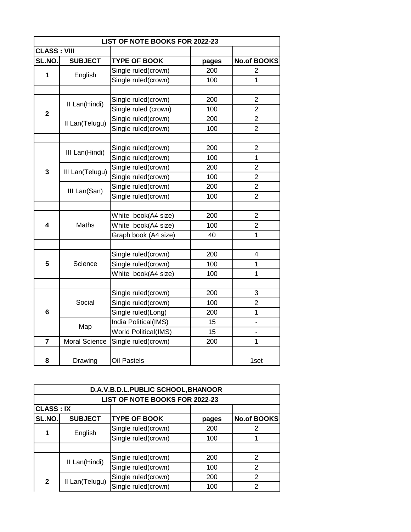|                     | LIST OF NOTE BOOKS FOR 2022-23 |                             |       |                    |  |
|---------------------|--------------------------------|-----------------------------|-------|--------------------|--|
| <b>CLASS : VIII</b> |                                |                             |       |                    |  |
| SL.NO.              | <b>SUBJECT</b>                 | <b>TYPE OF BOOK</b>         | pages | <b>No.of BOOKS</b> |  |
| 1<br>English        |                                | Single ruled(crown)         | 200   | $\overline{2}$     |  |
|                     |                                | Single ruled(crown)         | 100   | $\mathbf{1}$       |  |
|                     |                                |                             |       |                    |  |
|                     | II Lan(Hindi)                  | Single ruled(crown)         | 200   | $\overline{2}$     |  |
| $\mathbf 2$         |                                | Single ruled (crown)        | 100   | $\overline{2}$     |  |
|                     | II Lan(Telugu)                 | Single ruled(crown)         | 200   | $\overline{2}$     |  |
|                     |                                | Single ruled(crown)         | 100   | $\overline{2}$     |  |
|                     |                                |                             |       |                    |  |
|                     | III Lan(Hindi)                 | Single ruled(crown)         | 200   | $\overline{2}$     |  |
|                     |                                | Single ruled(crown)         | 100   | 1                  |  |
| 3                   | III Lan(Telugu)                | Single ruled(crown)         | 200   | $\overline{2}$     |  |
|                     |                                | Single ruled(crown)         | 100   | $\overline{c}$     |  |
|                     |                                | Single ruled(crown)         | 200   | $\overline{c}$     |  |
|                     | III Lan(San)                   | Single ruled(crown)         | 100   | $\overline{2}$     |  |
|                     |                                |                             |       |                    |  |
|                     | Maths                          | White book(A4 size)         | 200   | $\overline{2}$     |  |
| 4                   |                                | White book(A4 size)         | 100   | $\overline{c}$     |  |
|                     |                                | Graph book (A4 size)        | 40    | $\mathbf 1$        |  |
|                     |                                |                             |       |                    |  |
|                     |                                | Single ruled(crown)         | 200   | 4                  |  |
| 5                   | Science                        | Single ruled(crown)         | 100   | 1                  |  |
|                     |                                | White book(A4 size)         | 100   | $\mathbf{1}$       |  |
|                     |                                |                             |       |                    |  |
|                     |                                | Single ruled(crown)         | 200   | 3                  |  |
|                     | Social                         | Single ruled(crown)         | 100   | $\overline{2}$     |  |
| 6                   |                                | Single ruled(Long)          | 200   | 1                  |  |
|                     |                                | India Political(IMS)        | 15    |                    |  |
|                     | Map                            | <b>World Political(IMS)</b> | 15    |                    |  |
| $\overline{7}$      | Moral Science                  | Single ruled(crown)         | 200   | 1                  |  |
|                     |                                |                             |       |                    |  |
| 8                   | Drawing                        | Oil Pastels                 |       | 1set               |  |

| D.A.V.B.D.L.PUBLIC SCHOOL, BHANOOR |                                |                     |       |                    |  |  |
|------------------------------------|--------------------------------|---------------------|-------|--------------------|--|--|
|                                    | LIST OF NOTE BOOKS FOR 2022-23 |                     |       |                    |  |  |
|                                    | <b>CLASS: IX</b>               |                     |       |                    |  |  |
| SL.NO.                             | <b>SUBJECT</b>                 | <b>TYPE OF BOOK</b> | pages | <b>No.of BOOKS</b> |  |  |
|                                    | English                        | Single ruled(crown) | 200   | 2                  |  |  |
|                                    |                                | Single ruled(crown) | 100   |                    |  |  |
|                                    |                                |                     |       |                    |  |  |
|                                    |                                | Single ruled(crown) | 200   | 2                  |  |  |
|                                    | II Lan(Hindi)                  | Single ruled(crown) | 100   | $\overline{2}$     |  |  |
| $\mathbf{2}$                       |                                | Single ruled(crown) | 200   | 2                  |  |  |
|                                    | II Lan(Telugu)                 | Single ruled(crown) | 100   | 2                  |  |  |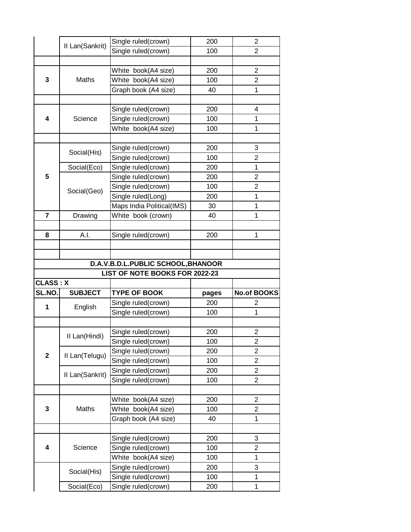|                 |                 | Single ruled(crown)                        | 200        | $\overline{2}$                   |
|-----------------|-----------------|--------------------------------------------|------------|----------------------------------|
|                 | II Lan(Sankrit) | Single ruled(crown)                        | 100        | 2                                |
|                 |                 |                                            |            |                                  |
|                 |                 | White book(A4 size)                        | 200        | $\overline{2}$                   |
| 3               | Maths           | White book(A4 size)                        | 100        | $\overline{2}$                   |
|                 |                 | Graph book (A4 size)                       | 40         | 1                                |
|                 |                 |                                            |            |                                  |
|                 |                 | Single ruled(crown)                        | 200        | 4                                |
| 4               | Science         | Single ruled(crown)                        | 100        | 1                                |
|                 |                 | White book(A4 size)                        | 100        | $\mathbf{1}$                     |
|                 |                 |                                            |            |                                  |
|                 |                 | Single ruled(crown)                        | 200        | 3                                |
|                 | Social(His)     | Single ruled(crown)                        | 100        | $\overline{2}$                   |
|                 | Social(Eco)     | Single ruled(crown)                        | 200        | 1                                |
| 5               |                 | Single ruled(crown)                        | 200        | $\overline{2}$                   |
|                 |                 | Single ruled(crown)                        | 100        | $\overline{2}$                   |
|                 | Social(Geo)     | Single ruled(Long)                         | 200        | $\mathbf 1$                      |
|                 |                 | Maps India Political(IMS)                  | 30         | $\mathbf 1$                      |
| $\overline{7}$  | Drawing         | White book (crown)                         | 40         | 1                                |
|                 |                 |                                            |            |                                  |
| 8               | A.I.            | Single ruled(crown)                        | 200        | 1                                |
|                 |                 |                                            |            |                                  |
|                 |                 |                                            |            |                                  |
|                 |                 | D.A.V.B.D.L.PUBLIC SCHOOL, BHANOOR         |            |                                  |
|                 |                 |                                            |            |                                  |
|                 |                 |                                            |            |                                  |
| <b>CLASS: X</b> |                 | LIST OF NOTE BOOKS FOR 2022-23             |            |                                  |
| SL.NO.          | <b>SUBJECT</b>  |                                            |            | <b>No.of BOOKS</b>               |
|                 |                 | <b>TYPE OF BOOK</b>                        | pages      | 2                                |
| 1               | English         | Single ruled(crown)                        | 200<br>100 | 1                                |
|                 |                 | Single ruled(crown)                        |            |                                  |
|                 |                 |                                            |            | $\overline{2}$                   |
|                 | II Lan(Hindi)   | Single ruled(crown)                        | 200        |                                  |
|                 |                 | Single ruled(crown)                        | 100        | 2<br>$\overline{2}$              |
| $\mathbf 2$     | II Lan(Telugu)  | Single ruled(crown)                        | 200        | $\overline{2}$                   |
|                 |                 | Single ruled(crown)                        | 100        |                                  |
|                 | II Lan(Sankrit) | Single ruled(crown)                        | 200<br>100 | $\overline{2}$<br>$\overline{2}$ |
|                 |                 | Single ruled(crown)                        |            |                                  |
|                 |                 |                                            | 200        | 2                                |
| 3               | Maths           | White book(A4 size)                        |            | $\overline{2}$                   |
|                 |                 | White book(A4 size)                        | 100<br>40  | $\mathbf 1$                      |
|                 |                 | Graph book (A4 size)                       |            |                                  |
|                 |                 |                                            |            |                                  |
| 4               | Science         | Single ruled(crown)                        | 200<br>100 | 3<br>$\overline{2}$              |
|                 |                 | Single ruled(crown)                        |            | 1                                |
|                 |                 | White book(A4 size)                        | 100        | 3                                |
|                 | Social(His)     | Single ruled(crown)                        | 200        | 1                                |
|                 | Social(Eco)     | Single ruled(crown)<br>Single ruled(crown) | 100<br>200 | 1                                |